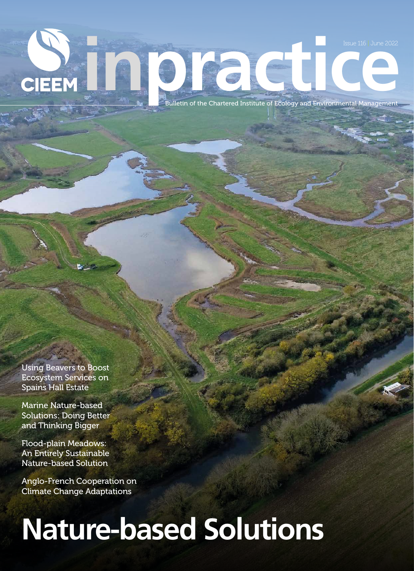**issue 116 June 2022**<br> **issue 116 June 2022**<br>
Bulletin of the Chartered Institute of Ecology and Environmental Management **CIEEM** 

Using Beavers to Boost Ecosystem Services on Spains Hall Estate

Marine Nature-based Solutions: Doing Better and Thinking Bigger

Flood-plain Meadows: An Entirely Sustainable Nature-based Solution

Anglo-French Cooperation on Climate Change Adaptations

# **Nature-based Solutions**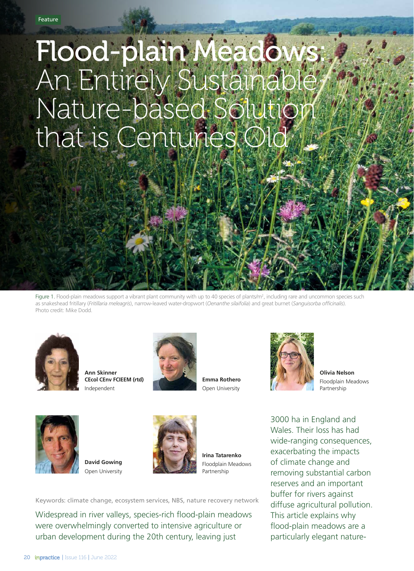# Flood-plain Meadows: An Entirely Sustainable, Nature-based Solution that is Centuries Old

Figure 1. Flood-plain meadows support a vibrant plant community with up to 40 species of plants/m<sup>2</sup>, including rare and uncommon species such as snakeshead fritillary (*Fritillaria meleagris*), narrow-leaved water-dropwort (*Oenanthe silaifolia*) and great burnet (*Sanguisorba officinalis*). Photo credit: Mike Dodd.



**Ann Skinner CEcol CEnv FCIEEM (rtd)** Independent



**Emma Rothero** Open University



**Olivia Nelson** Floodplain Meadows Partnership



**David Gowing** Open University



**Irina Tatarenko**  Floodplain Meadows Partnership

Keywords: climate change, ecosystem services, NBS, nature recovery network

Widespread in river valleys, species-rich flood-plain meadows were overwhelmingly converted to intensive agriculture or urban development during the 20th century, leaving just

3000 ha in England and Wales. Their loss has had wide-ranging consequences, exacerbating the impacts of climate change and removing substantial carbon reserves and an important buffer for rivers against diffuse agricultural pollution. This article explains why flood-plain meadows are a particularly elegant nature-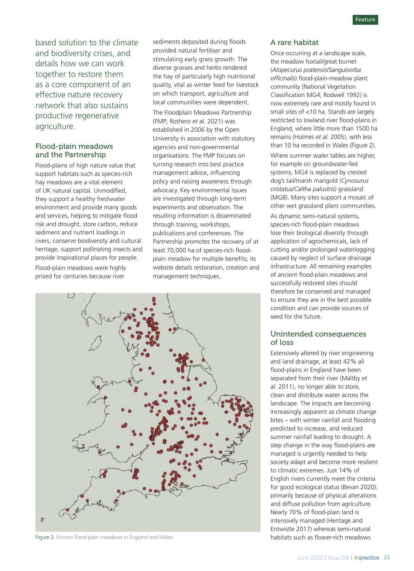based solution to the climate and biodiversity crises, and details how we can work together to restore them as a core component of an effective nature recovery network that also sustains productive regenerative agriculture.

#### Flood-plain meadows and the Partnership

Flood-plains of high nature value that support habitats such as species-rich hay meadows are a vital element of UK natural capital. Unmodified, they support a healthy freshwater environment and provide many goods and services, helping to mitigate flood risk and drought, store carbon, reduce sediment and nutrient loadings in rivers, conserve biodiversity and cultural heritage, support pollinating insects and provide inspirational places for people.

Flood-plain meadows were highly prized for centuries because river

sediments deposited during floods provided natural fertiliser and stimulating early grass growth. The diverse grasses and herbs rendered the hay of particularly high nutritional quality, vital as winter feed for livestock on which transport, agriculture and local communities were dependent.

The Floodplain Meadows Partnership (FMP; Rothero *et al.* 2021) was established in 2006 by the Open University in association with statutory agencies and non-governmental organisations. The FMP focuses on turning research into best practice management advice, influencing policy and raising awareness through advocacy. Key environmental issues are investigated through long-term experiments and observation. The resulting information is disseminated through training, workshops, publications and conferences. The Partnership promotes the recovery of at least 70,000 ha of species-rich floodplain meadow for multiple benefits; its website details restoration, creation and management techniques.



Figure 2. Known flood-plain meadows in England and Wales. https://www.mabitats such as flower-rich meadows in England and Wales.

#### A rare habitat

Once occurring at a landscape scale, the meadow foxtail/great burnet (*Alopecurus pratensis*/*Sanguisorba officinalis*) flood-plain-meadow plant community (National Vegetation Classification MG4; Rodwell 1992) is now extremely rare and mostly found in small sites of <10 ha. Stands are largely restricted to lowland river flood-plains in England, where little more than 1500 ha remains (Holmes *et al.* 2005), with less than 10 ha recorded in Wales (Figure 2). Where summer water tables are higher, for example on groundwater-fed systems, MG4 is replaced by crested dog's tail/marsh marigold (*Cynosurus cristatus*/*Caltha palustris*) grassland (MG8). Many sites support a mosaic of other wet grassland plant communities. As dynamic semi-natural systems, species-rich flood-plain meadows lose their biological diversity through application of agrochemicals, lack of cutting and/or prolonged waterlogging caused by neglect of surface drainage infrastructure. All remaining examples of ancient flood-plain meadows and successfully restored sites should therefore be conserved and managed to ensure they are in the best possible

## seed for the future. Unintended consequences

condition and can provide sources of

### of loss Extensively altered by river engineering

and land drainage, at least 42% all flood-plains in England have been separated from their river (Maltby *et al.* 2011), no longer able to store, clean and distribute water across the landscape. The impacts are becoming increasingly apparent as climate change bites – with winter rainfall and flooding predicted to increase, and reduced summer rainfall leading to drought. A step change in the way flood-plains are managed is urgently needed to help society adapt and become more resilient to climatic extremes. Just 14% of English rivers currently meet the criteria for good ecological status (Bevan 2020), primarily because of physical alterations and diffuse pollution from agriculture. Nearly 70% of flood-plain land is intensively managed (Heritage and Entwistle 2017) whereas semi-natural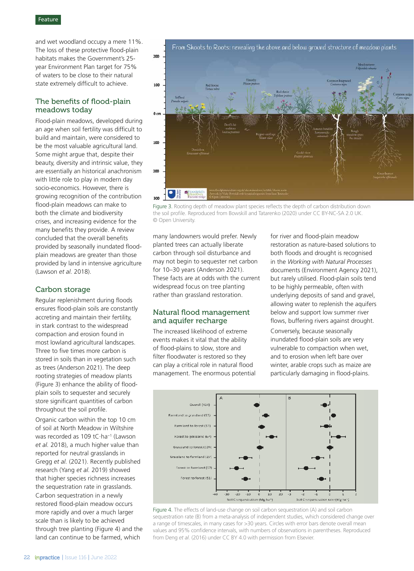and wet woodland occupy a mere 11%. The loss of these protective flood-plain habitats makes the Government's 25 year Environment Plan target for 75% of waters to be close to their natural state extremely difficult to achieve.

#### The benefits of flood-plain meadows today

Flood-plain meadows, developed during an age when soil fertility was difficult to build and maintain, were considered to be the most valuable agricultural land. Some might argue that, despite their beauty, diversity and intrinsic value, they are essentially an historical anachronism with little role to play in modern day socio-economics. However, there is growing recognition of the contribution flood-plain meadows can make to both the climate and biodiversity crises, and increasing evidence for the many benefits they provide. A review concluded that the overall benefits provided by seasonally inundated floodplain meadows are greater than those provided by land in intensive agriculture (Lawson *et al.* 2018).

#### Carbon storage

Regular replenishment during floods ensures flood-plain soils are constantly accreting and maintain their fertility, in stark contrast to the widespread compaction and erosion found in most lowland agricultural landscapes. Three to five times more carbon is stored in soils than in vegetation such as trees (Anderson 2021). The deep rooting strategies of meadow plants (Figure 3) enhance the ability of floodplain soils to sequester and securely store significant quantities of carbon throughout the soil profile.

Organic carbon within the top 10 cm of soil at North Meadow in Wiltshire was recorded as 109 tC·ha−1 (Lawson *et al.* 2018), a much higher value than reported for neutral grasslands in Gregg *et al.* (2021). Recently published research (Yang *et al.* 2019) showed that higher species richness increases the sequestration rate in grasslands. Carbon sequestration in a newly restored flood-plain meadow occurs more rapidly and over a much larger scale than is likely to be achieved through tree planting (Figure 4) and the land can continue to be farmed, which



Figure 3. Rooting depth of meadow plant species reflects the depth of carbon distribution down the soil profile. Reproduced from Bowskill and Tatarenko (2020) under CC BY-NC-SA 2.0 UK. © Open University.

many landowners would prefer. Newly planted trees can actually liberate carbon through soil disturbance and may not begin to sequester net carbon for 10–30 years (Anderson 2021). These facts are at odds with the current widespread focus on tree planting rather than grassland restoration.

#### Natural flood management and aquifer recharge

The increased likelihood of extreme events makes it vital that the ability of flood-plains to slow, store and filter floodwater is restored so they can play a critical role in natural flood management. The enormous potential for river and flood-plain meadow restoration as nature-based solutions to both floods and drought is recognised in the *Working with Natural Processes* documents (Environment Agency 2021), but rarely utilised. Flood-plain soils tend to be highly permeable, often with underlying deposits of sand and gravel, allowing water to replenish the aquifers below and support low summer river flows, buffering rivers against drought.

Conversely, because seasonally inundated flood-plain soils are very vulnerable to compaction when wet, and to erosion when left bare over winter, arable crops such as maize are particularly damaging in flood-plains.



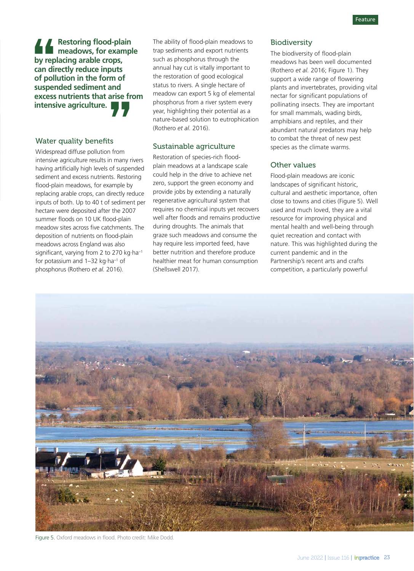**Restoring flood-plain meadows, for example by replacing arable crops, can directly reduce inputs of pollution in the form of suspended sediment and excess nutrients that arise from intensive agriculture.** by rep<br>
by rep<br>
can diu<br>
susper<br>
excess arise fr<br>"<br>"<br>"<br>"<br>" many r

#### Water quality benefits

Widespread diffuse pollution from intensive agriculture results in many rivers having artificially high levels of suspended sediment and excess nutrients. Restoring flood-plain meadows, for example by replacing arable crops, can directly reduce inputs of both. Up to 40 t of sediment per hectare were deposited after the 2007 summer floods on 10 UK flood-plain meadow sites across five catchments. The deposition of nutrients on flood-plain meadows across England was also significant, varying from 2 to 270 kg·ha−1 for potassium and 1–32 kg·ha−1 of phosphorus (Rothero *et al.* 2016).

The ability of flood-plain meadows to trap sediments and export nutrients such as phosphorus through the annual hay cut is vitally important to the restoration of good ecological status to rivers. A single hectare of meadow can export 5 kg of elemental phosphorus from a river system every year, highlighting their potential as a nature-based solution to eutrophication (Rothero *et al.* 2016).

#### Sustainable agriculture

Restoration of species-rich floodplain meadows at a landscape scale could help in the drive to achieve net zero, support the green economy and provide jobs by extending a naturally regenerative agricultural system that requires no chemical inputs yet recovers well after floods and remains productive during droughts. The animals that graze such meadows and consume the hay require less imported feed, have better nutrition and therefore produce healthier meat for human consumption (Shellswell 2017).

#### **Biodiversity**

The biodiversity of flood-plain meadows has been well documented (Rothero *et al.* 2016; Figure 1). They support a wide range of flowering plants and invertebrates, providing vital nectar for significant populations of pollinating insects. They are important for small mammals, wading birds, amphibians and reptiles, and their abundant natural predators may help to combat the threat of new pest species as the climate warms.

#### Other values

Flood-plain meadows are iconic landscapes of significant historic, cultural and aesthetic importance, often close to towns and cities (Figure 5). Well used and much loved, they are a vital resource for improving physical and mental health and well-being through quiet recreation and contact with nature. This was highlighted during the current pandemic and in the Partnership's recent arts and crafts competition, a particularly powerful



Figure 5. Oxford meadows in flood. Photo credit: Mike Dodd.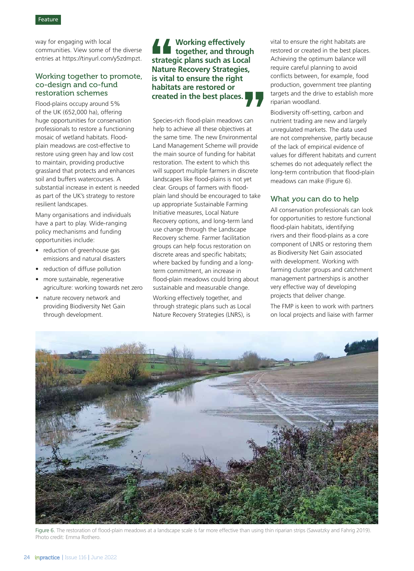way for engaging with local communities. View some of the diverse entries at https://tinyurl.com/y5zdmpzt.

#### Working together to promote, co-design and co-fund restoration schemes

Flood-plains occupy around 5% of the UK (652,000 ha), offering huge opportunities for conservation professionals to restore a functioning mosaic of wetland habitats. Floodplain meadows are cost-effective to restore using green hay and low cost to maintain, providing productive grassland that protects and enhances soil and buffers watercourses. A substantial increase in extent is needed as part of the UK's strategy to restore resilient landscapes.

Many organisations and individuals have a part to play. Wide-ranging policy mechanisms and funding opportunities include:

- reduction of greenhouse gas emissions and natural disasters
- reduction of diffuse pollution
- more sustainable, regenerative agriculture: working towards net zero
- nature recovery network and providing Biodiversity Net Gain through development.

**Working effectively together, and through strategic plans such as Local Nature Recovery Strategies, is vital to ensure the right habitats are restored or Additional Strategy Additional Strategy Additional Strategy Additional Strategy Additional Strategy Additional Strategy Additional Strategy Additional Strategy Additional Strategy Additional Strategy Additional Strategy A** 

Species-rich flood-plain meadows can help to achieve all these objectives at the same time. The new Environmental Land Management Scheme will provide the main source of funding for habitat restoration. The extent to which this will support multiple farmers in discrete landscapes like flood-plains is not yet clear. Groups of farmers with floodplain land should be encouraged to take up appropriate Sustainable Farming Initiative measures, Local Nature Recovery options, and long-term land use change through the Landscape Recovery scheme. Farmer facilitation groups can help focus restoration on discrete areas and specific habitats; where backed by funding and a longterm commitment, an increase in flood-plain meadows could bring about sustainable and measurable change. Working effectively together, and **created in the best places.**<br> **created in the best places.**<br> **Species-rich flood-plain meadows can help to achieve all these objectives at the same time. The new Environmental Land Management Scheme will provide the main** 

through strategic plans such as Local Nature Recovery Strategies (LNRS), is

vital to ensure the right habitats are restored or created in the best places. Achieving the optimum balance will require careful planning to avoid conflicts between, for example, food production, government tree planting targets and the drive to establish more riparian woodland.

Biodiversity off-setting, carbon and nutrient trading are new and largely unregulated markets. The data used are not comprehensive, partly because of the lack of empirical evidence of values for different habitats and current schemes do not adequately reflect the long-term contribution that flood-plain meadows can make (Figure 6).

#### What you can do to help

All conservation professionals can look for opportunities to restore functional flood-plain habitats, identifying rivers and their flood-plains as a core component of LNRS or restoring them as Biodiversity Net Gain associated with development. Working with farming cluster groups and catchment management partnerships is another very effective way of developing projects that deliver change.

The FMP is keen to work with partners on local projects and liaise with farmer



Figure 6. The restoration of flood-plain meadows at a landscape scale is far more effective than using thin riparian strips (Sawatzky and Fahrig 2019). Photo credit: Emma Rothero.